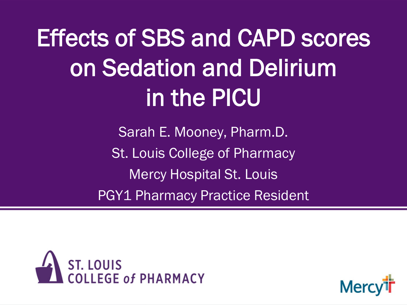Effects of SBS and CAPD scores on Sedation and Delirium in the PICU

> Sarah E. Mooney, Pharm.D. St. Louis College of Pharmacy Mercy Hospital St. Louis PGY1 Pharmacy Practice Resident



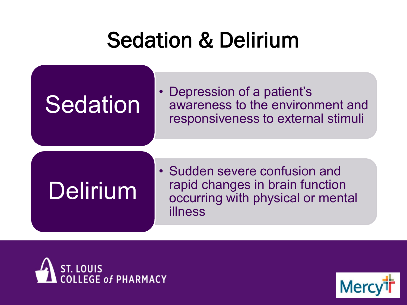### Sedation & Delirium

# **Sedation**

• Depression of a patient's awareness to the environment and responsiveness to external stimuli

# Delirium

• Sudden severe confusion and rapid changes in brain function occurring with physical or mental illness



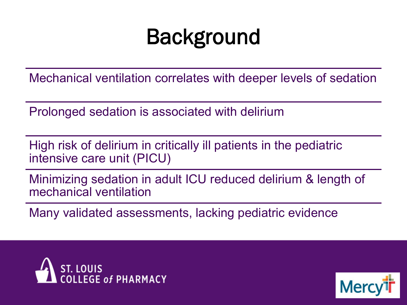### **Background**

Mechanical ventilation correlates with deeper levels of sedation

Prolonged sedation is associated with delirium

High risk of delirium in critically ill patients in the pediatric intensive care unit (PICU)

Minimizing sedation in adult ICU reduced delirium & length of mechanical ventilation

Many validated assessments, lacking pediatric evidence



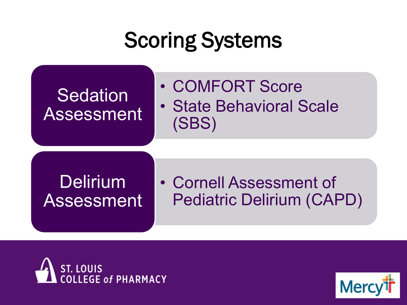### Scoring Systems

### Sedation Assessment

- COMFORT Score
- State Behavioral Scale (SBS)

### Delirium Assessment

• Cornell Assessment of Pediatric Delirium (CAPD)



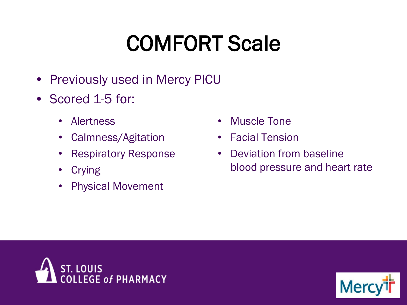# COMFORT Scale

- Previously used in Mercy PICU
- Scored 1-5 for:
	- Alertness
	- Calmness/Agitation
	- Respiratory Response
	- Crying
	- Physical Movement
- **Muscle Tone**
- Facial Tension
- Deviation from baseline blood pressure and heart rate



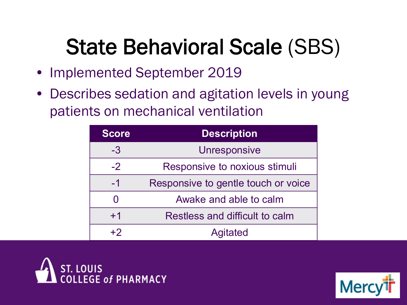### State Behavioral Scale (SBS)

- Implemented September 2019
- Describes sedation and agitation levels in young patients on mechanical ventilation

| <b>Score</b> | <b>Description</b>                  |
|--------------|-------------------------------------|
| -3           | <b>Unresponsive</b>                 |
| $-2$         | Responsive to noxious stimuli       |
| $-1$         | Responsive to gentle touch or voice |
| O            | Awake and able to calm              |
| $+1$         | Restless and difficult to calm      |
| $+2$         | <b>Agitated</b>                     |



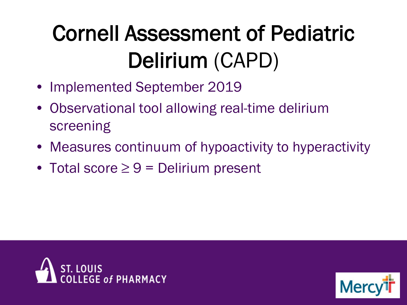# Cornell Assessment of Pediatric Delirium (CAPD)

- Implemented September 2019
- Observational tool allowing real-time delirium screening
- Measures continuum of hypoactivity to hyperactivity
- Total score  $\geq 9$  = Delirium present



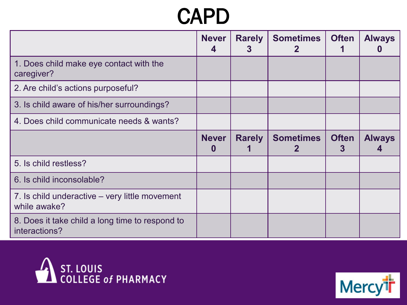### CAPD

|                                                                | <b>Never</b> | <b>Rarely</b><br>3 | <b>Sometimes</b> | <b>Often</b> | <b>Always</b> |
|----------------------------------------------------------------|--------------|--------------------|------------------|--------------|---------------|
| 1. Does child make eye contact with the<br>caregiver?          |              |                    |                  |              |               |
| 2. Are child's actions purposeful?                             |              |                    |                  |              |               |
| 3. Is child aware of his/her surroundings?                     |              |                    |                  |              |               |
| 4. Does child communicate needs & wants?                       |              |                    |                  |              |               |
|                                                                | <b>Never</b> | <b>Rarely</b>      | <b>Sometimes</b> | <b>Often</b> | <b>Always</b> |
| 5. Is child restless?                                          |              |                    |                  |              |               |
| 6. Is child inconsolable?                                      |              |                    |                  |              |               |
| 7. Is child underactive – very little movement<br>while awake? |              |                    |                  |              |               |
|                                                                |              |                    |                  |              |               |



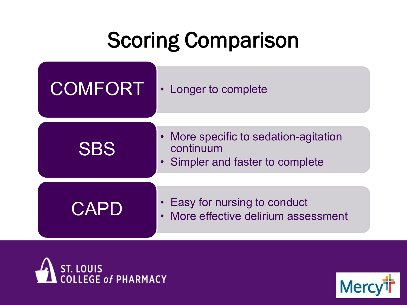# Scoring Comparison





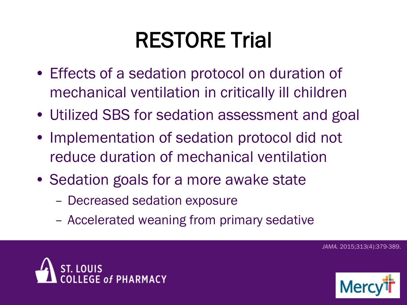# RESTORE Trial

- Effects of a sedation protocol on duration of mechanical ventilation in critically ill children
- Utilized SBS for sedation assessment and goal
- Implementation of sedation protocol did not reduce duration of mechanical ventilation
- Sedation goals for a more awake state
	- Decreased sedation exposure
	- Accelerated weaning from primary sedative

...<br>SE of PHARMACY



*JAMA.* 2015;313(4):379-389.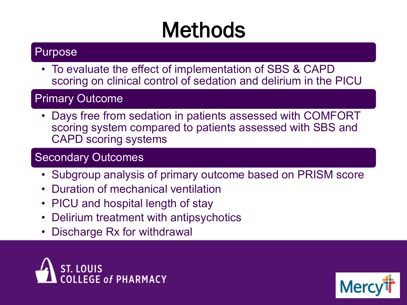# Methods

#### Purpose

• To evaluate the effect of implementation of SBS & CAPD scoring on clinical control of sedation and delirium in the PICU

#### Primary Outcome

• Days free from sedation in patients assessed with COMFORT scoring system compared to patients assessed with SBS and CAPD scoring systems

#### Secondary Outcomes

- Subgroup analysis of primary outcome based on PRISM score
- Duration of mechanical ventilation
- PICU and hospital length of stay
- Delirium treatment with antipsychotics
- Discharge Rx for withdrawal



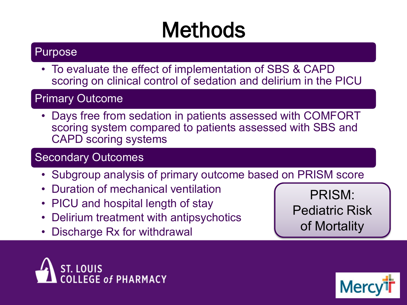# Methods

#### Purpose

• To evaluate the effect of implementation of SBS & CAPD scoring on clinical control of sedation and delirium in the PICU

#### Primary Outcome

• Days free from sedation in patients assessed with COMFORT scoring system compared to patients assessed with SBS and CAPD scoring systems

#### Secondary Outcomes

- Subgroup analysis of primary outcome based on PRISM score
- Duration of mechanical ventilation
- PICU and hospital length of stay
- Delirium treatment with antipsychotics
- Discharge Rx for withdrawal

PRISM: Pediatric Risk of Mortality



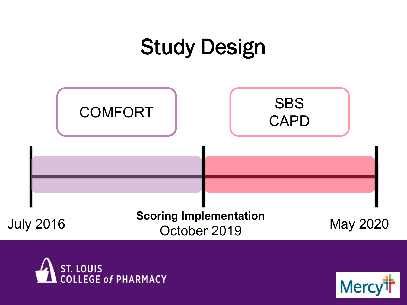### Study Design





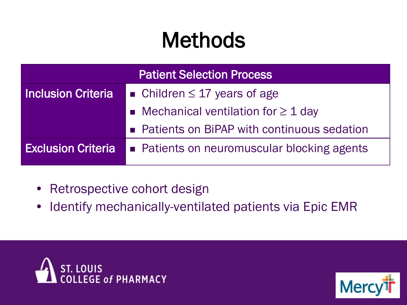# Methods

| <b>Patient Selection Process</b>                               |                                              |  |  |
|----------------------------------------------------------------|----------------------------------------------|--|--|
| <b>Inclusion Criteria</b><br>• Children $\leq$ 17 years of age |                                              |  |  |
|                                                                | • Mechanical ventilation for $\geq 1$ day    |  |  |
|                                                                | • Patients on BiPAP with continuous sedation |  |  |
| <b>Exclusion Criteria</b>                                      | • Patients on neuromuscular blocking agents  |  |  |
|                                                                |                                              |  |  |

- Retrospective cohort design
- Identify mechanically-ventilated patients via Epic EMR



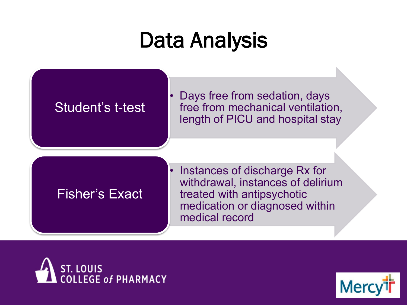### Data Analysis

#### Student's t-test

• Days free from sedation, days free from mechanical ventilation, length of PICU and hospital stay

Fisher's Exact

Instances of discharge Rx for withdrawal, instances of delirium treated with antipsychotic medication or diagnosed within medical record



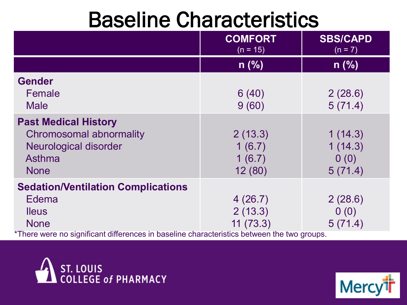### Baseline Characteristics

|                                                                                                    | <b>COMFORT</b><br>$(n = 15)$ | <b>SBS/CAPD</b><br>$(n = 7)$ |
|----------------------------------------------------------------------------------------------------|------------------------------|------------------------------|
|                                                                                                    | $n$ (%)                      | $n$ (%)                      |
| <b>Gender</b>                                                                                      |                              |                              |
| Female                                                                                             | 6(40)                        | 2(28.6)                      |
| <b>Male</b>                                                                                        | 9(60)                        | 5(71.4)                      |
| <b>Past Medical History</b>                                                                        |                              |                              |
| <b>Chromosomal abnormality</b>                                                                     | 2(13.3)                      | 1(14.3)                      |
| <b>Neurological disorder</b>                                                                       | 1(6.7)                       | 1(14.3)                      |
| Asthma                                                                                             | 1(6.7)                       | 0(0)                         |
| <b>None</b>                                                                                        | 12(80)                       | 5(71.4)                      |
| <b>Sedation/Ventilation Complications</b>                                                          |                              |                              |
| Edema                                                                                              | 4(26.7)                      | 2(28.6)                      |
| <b>lleus</b>                                                                                       | 2(13.3)                      | 0(0)                         |
| <b>None</b><br>*Those wore no olantificant differences in becaling shore-to-define behuare the two | 11(73.3)                     | 5(71.4)                      |

There were no significant differences in baseline characteristics between the two groups.



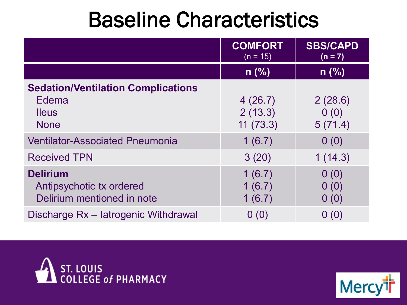### Baseline Characteristics

|                                                                                   | <b>COMFORT</b><br>$(n = 15)$   | <b>SBS/CAPD</b><br>$(n = 7)$ |
|-----------------------------------------------------------------------------------|--------------------------------|------------------------------|
|                                                                                   | $n$ (%)                        | $n$ (%)                      |
| <b>Sedation/Ventilation Complications</b><br>Edema<br><b>Ileus</b><br><b>None</b> | 4(26.7)<br>2(13.3)<br>11(73.3) | 2(28.6)<br>0(0)<br>5(71.4)   |
| <b>Ventilator-Associated Pneumonia</b>                                            | 1(6.7)                         | 0(0)                         |
| <b>Received TPN</b>                                                               | 3(20)                          | 1(14.3)                      |
| <b>Delirium</b><br>Antipsychotic tx ordered<br>Delirium mentioned in note         | 1(6.7)<br>1(6.7)<br>1(6.7)     | 0(0)<br>0(0)<br>0(0)         |
| Discharge Rx - latrogenic Withdrawal                                              | 0(0)                           | 0(0)                         |



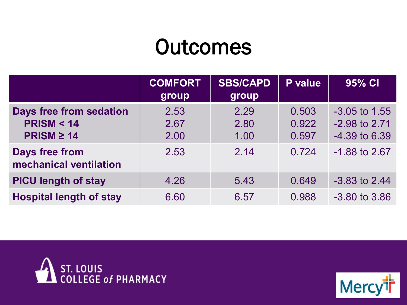### **Outcomes**

|                                                                           | <b>COMFORT</b><br>group | <b>SBS/CAPD</b><br>group | P value                 | 95% CI                                              |
|---------------------------------------------------------------------------|-------------------------|--------------------------|-------------------------|-----------------------------------------------------|
| <b>Days free from sedation</b><br><b>PRISM &lt; 14</b><br>$PRISM \geq 14$ | 2.53<br>2.67<br>2.00    | 2.29<br>2.80<br>1.00     | 0.503<br>0.922<br>0.597 | $-3.05$ to 1.55<br>-2.98 to 2.71<br>$-4.39$ to 6.39 |
| <b>Days free from</b><br>mechanical ventilation                           | 2.53                    | 2.14                     | 0.724                   | $-1.88$ to 2.67                                     |
| <b>PICU length of stay</b>                                                | 4.26                    | 5.43                     | 0.649                   | $-3.83$ to 2.44                                     |
| <b>Hospital length of stay</b>                                            | 6.60                    | 6.57                     | 0.988                   | $-3.80$ to $3.86$                                   |



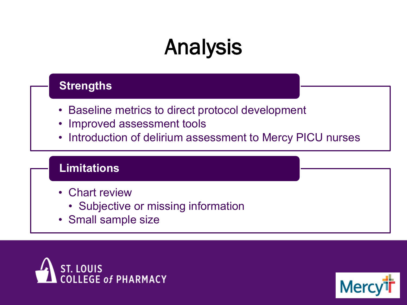# Analysis

#### **Strengths**

- Baseline metrics to direct protocol development
- Improved assessment tools
- Introduction of delirium assessment to Mercy PICU nurses

#### **Limitations**

- Chart review
	- Subjective or missing information
- Small sample size



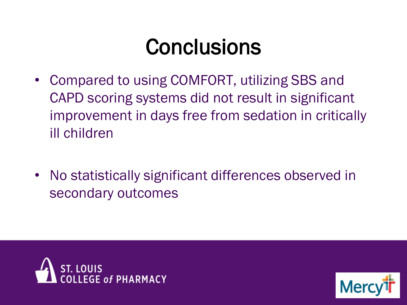### **Conclusions**

- Compared to using COMFORT, utilizing SBS and CAPD scoring systems did not result in significant improvement in days free from sedation in critically ill children
- No statistically significant differences observed in secondary outcomes



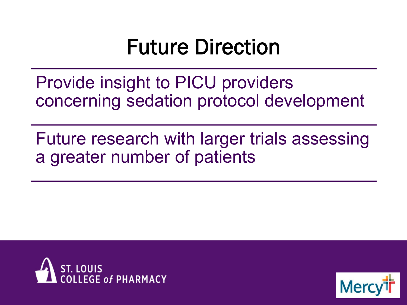### Future Direction

Provide insight to PICU providers concerning sedation protocol development

Future research with larger trials assessing a greater number of patients